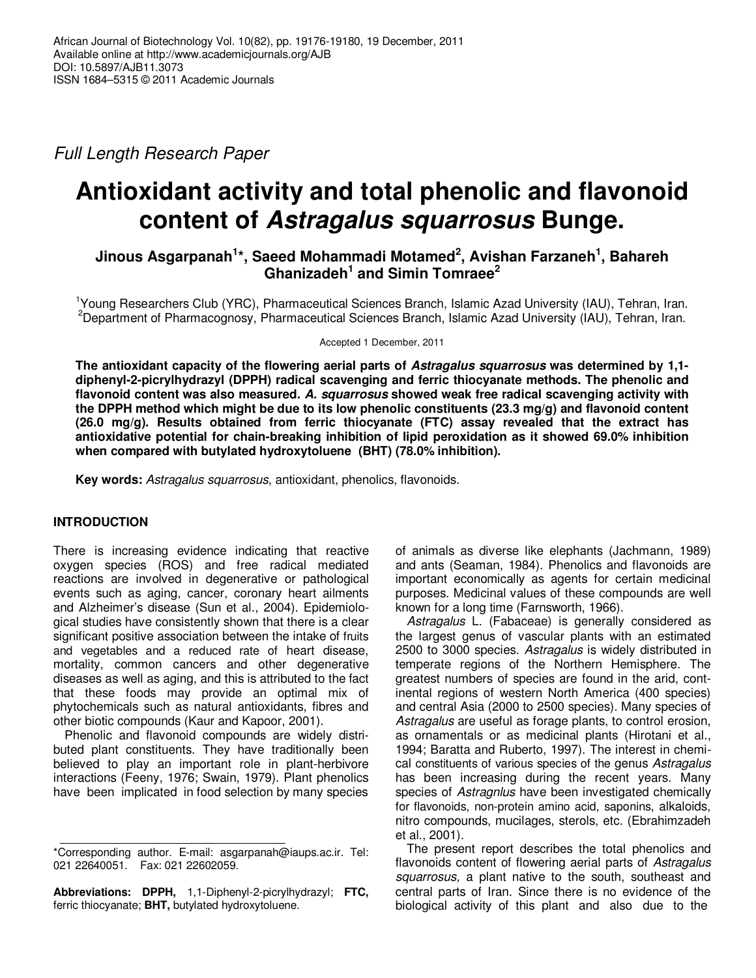Full Length Research Paper

# **Antioxidant activity and total phenolic and flavonoid content of Astragalus squarrosus Bunge.**

**Jinous Asgarpanah<sup>1</sup> \*, Saeed Mohammadi Motamed<sup>2</sup> , Avishan Farzaneh<sup>1</sup> , Bahareh Ghanizadeh<sup>1</sup> and Simin Tomraee<sup>2</sup>**

<sup>1</sup>Young Researchers Club (YRC), Pharmaceutical Sciences Branch, Islamic Azad University (IAU), Tehran, Iran. <sup>2</sup>Department of Pharmacognosy, Pharmaceutical Sciences Branch, Islamic Azad University (IAU), Tehran, Iran.

Accepted 1 December, 2011

**The antioxidant capacity of the flowering aerial parts of Astragalus squarrosus was determined by 1,1 diphenyl-2-picrylhydrazyl (DPPH) radical scavenging and ferric thiocyanate methods. The phenolic and flavonoid content was also measured. A. squarrosus showed weak free radical scavenging activity with the DPPH method which might be due to its low phenolic constituents (23.3 mg/g) and flavonoid content (26.0 mg/g). Results obtained from ferric thiocyanate (FTC) assay revealed that the extract has antioxidative potential for chain-breaking inhibition of lipid peroxidation as it showed 69.0% inhibition when compared with butylated hydroxytoluene (BHT) (78.0% inhibition).** 

**Key words:** Astragalus squarrosus, antioxidant, phenolics, flavonoids.

## **INTRODUCTION**

There is increasing evidence indicating that reactive oxygen species (ROS) and free radical mediated reactions are involved in degenerative or pathological events such as aging, cancer, coronary heart ailments and Alzheimer's disease (Sun et al., 2004). Epidemiological studies have consistently shown that there is a clear significant positive association between the intake of fruits and vegetables and a reduced rate of heart disease, mortality, common cancers and other degenerative diseases as well as aging, and this is attributed to the fact that these foods may provide an optimal mix of phytochemicals such as natural antioxidants, fibres and other biotic compounds (Kaur and Kapoor, 2001).

Phenolic and flavonoid compounds are widely distributed plant constituents. They have traditionally been believed to play an important role in plant-herbivore interactions (Feeny, 1976; Swain, 1979). Plant phenolics have been implicated in food selection by many species

**Abbreviations: DPPH,** 1,1-Diphenyl-2-picrylhydrazyl; **FTC,** ferric thiocyanate; **BHT,** butylated hydroxytoluene.

of animals as diverse like elephants (Jachmann, 1989) and ants (Seaman, 1984). Phenolics and flavonoids are important economically as agents for certain medicinal purposes. Medicinal values of these compounds are well known for a long time (Farnsworth, 1966).

Astragalus L. (Fabaceae) is generally considered as the largest genus of vascular plants with an estimated 2500 to 3000 species. Astragalus is widely distributed in temperate regions of the Northern Hemisphere. The greatest numbers of species are found in the arid, continental regions of western North America (400 species) and central Asia (2000 to 2500 species). Many species of Astragalus are useful as forage plants, to control erosion, as ornamentals or as medicinal plants (Hirotani et al., 1994; Baratta and Ruberto, 1997). The interest in chemical constituents of various species of the genus Astragalus has been increasing during the recent years. Many species of Astragnlus have been investigated chemically for flavonoids, non-protein amino acid, saponins, alkaloids, nitro compounds, mucilages, sterols, etc. (Ebrahimzadeh et al., 2001).

The present report describes the total phenolics and flavonoids content of flowering aerial parts of Astragalus squarrosus, a plant native to the south, southeast and central parts of Iran. Since there is no evidence of the biological activity of this plant and also due to the

<sup>\*</sup>Corresponding author. E-mail: asgarpanah@iaups.ac.ir. Tel: 021 22640051. Fax: 021 22602059.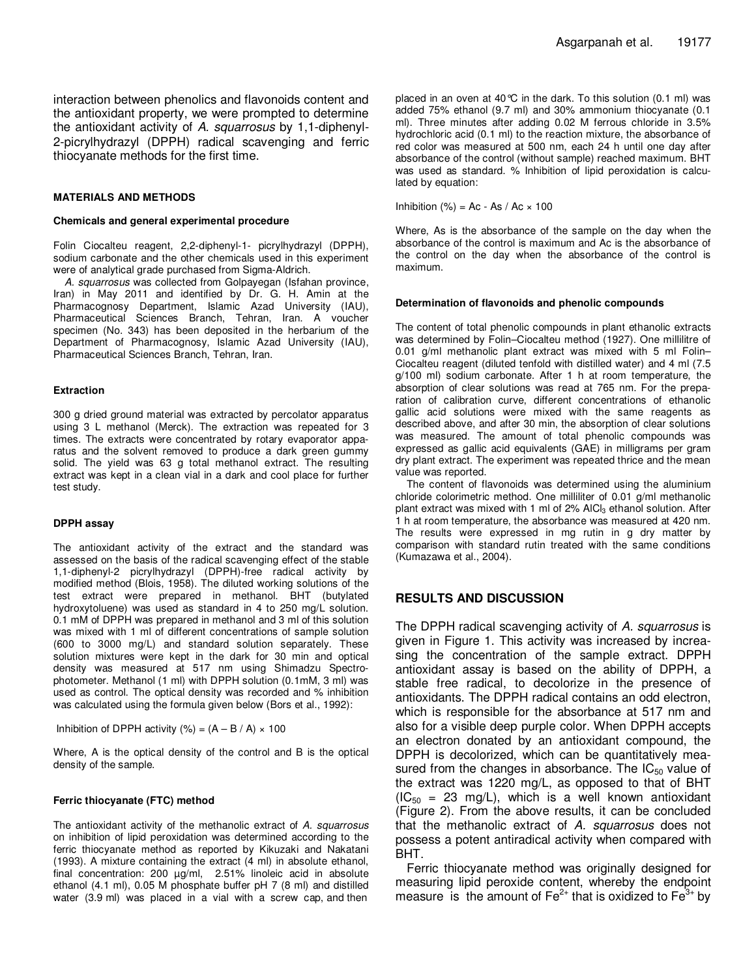interaction between phenolics and flavonoids content and the antioxidant property, we were prompted to determine the antioxidant activity of A. squarrosus by 1,1-diphenyl-2-picrylhydrazyl (DPPH) radical scavenging and ferric thiocyanate methods for the first time.

#### **MATERIALS AND METHODS**

#### **Chemicals and general experimental procedure**

Folin Ciocalteu reagent, 2,2-diphenyl-1- picrylhydrazyl (DPPH), sodium carbonate and the other chemicals used in this experiment were of analytical grade purchased from Sigma-Aldrich.

A. squarrosus was collected from Golpayegan (Isfahan province, Iran) in May 2011 and identified by Dr. G. H. Amin at the Pharmacognosy Department, Islamic Azad University (IAU), Pharmaceutical Sciences Branch, Tehran, Iran. A voucher specimen (No. 343) has been deposited in the herbarium of the Department of Pharmacognosy, Islamic Azad University (IAU), Pharmaceutical Sciences Branch, Tehran, Iran.

#### **Extraction**

300 g dried ground material was extracted by percolator apparatus using 3 L methanol (Merck). The extraction was repeated for 3 times. The extracts were concentrated by rotary evaporator apparatus and the solvent removed to produce a dark green gummy solid. The yield was 63 g total methanol extract. The resulting extract was kept in a clean vial in a dark and cool place for further test study.

#### **DPPH assay**

The antioxidant activity of the extract and the standard was assessed on the basis of the radical scavenging effect of the stable 1,1-diphenyl-2 picrylhydrazyl (DPPH)-free radical activity by modified method (Blois, 1958). The diluted working solutions of the test extract were prepared in methanol. BHT (butylated hydroxytoluene) was used as standard in 4 to 250 mg/L solution. 0.1 mM of DPPH was prepared in methanol and 3 ml of this solution was mixed with 1 ml of different concentrations of sample solution (600 to 3000 mg/L) and standard solution separately. These solution mixtures were kept in the dark for 30 min and optical density was measured at 517 nm using Shimadzu Spectrophotometer. Methanol (1 ml) with DPPH solution (0.1mM, 3 ml) was used as control. The optical density was recorded and % inhibition was calculated using the formula given below (Bors et al., 1992):

Inhibition of DPPH activity  $(\% ) = (A - B / A) \times 100$ 

Where, A is the optical density of the control and B is the optical density of the sample.

#### **Ferric thiocyanate (FTC) method**

The antioxidant activity of the methanolic extract of A. squarrosus on inhibition of lipid peroxidation was determined according to the ferric thiocyanate method as reported by Kikuzaki and Nakatani (1993). A mixture containing the extract (4 ml) in absolute ethanol, final concentration: 200 µg/ml, 2.51% linoleic acid in absolute ethanol (4.1 ml), 0.05 M phosphate buffer pH 7 (8 ml) and distilled water (3.9 ml) was placed in a vial with a screw cap, and then

placed in an oven at 40  $\degree$  in the dark. To this solution (0.1 ml) was added 75% ethanol (9.7 ml) and 30% ammonium thiocyanate (0.1 ml). Three minutes after adding 0.02 M ferrous chloride in 3.5% hydrochloric acid (0.1 ml) to the reaction mixture, the absorbance of red color was measured at 500 nm, each 24 h until one day after absorbance of the control (without sample) reached maximum. BHT was used as standard. % Inhibition of lipid peroxidation is calculated by equation:

Inhibition (%) = Ac - As / Ac  $\times$  100

Where, As is the absorbance of the sample on the day when the absorbance of the control is maximum and Ac is the absorbance of the control on the day when the absorbance of the control is maximum.

#### **Determination of flavonoids and phenolic compounds**

The content of total phenolic compounds in plant ethanolic extracts was determined by Folin–Ciocalteu method (1927). One millilitre of 0.01 g/ml methanolic plant extract was mixed with 5 ml Folin– Ciocalteu reagent (diluted tenfold with distilled water) and 4 ml (7.5 g/100 ml) sodium carbonate. After 1 h at room temperature, the absorption of clear solutions was read at 765 nm. For the preparation of calibration curve, different concentrations of ethanolic gallic acid solutions were mixed with the same reagents as described above, and after 30 min, the absorption of clear solutions was measured. The amount of total phenolic compounds was expressed as gallic acid equivalents (GAE) in milligrams per gram dry plant extract. The experiment was repeated thrice and the mean value was reported.

The content of flavonoids was determined using the aluminium chloride colorimetric method. One milliliter of 0.01 g/ml methanolic plant extract was mixed with 1 ml of 2% AlCl<sub>3</sub> ethanol solution. After 1 h at room temperature, the absorbance was measured at 420 nm. The results were expressed in mg rutin in g dry matter by comparison with standard rutin treated with the same conditions (Kumazawa et al., 2004).

### **RESULTS AND DISCUSSION**

The DPPH radical scavenging activity of A. squarrosus is given in Figure 1. This activity was increased by increasing the concentration of the sample extract. DPPH antioxidant assay is based on the ability of DPPH, a stable free radical, to decolorize in the presence of antioxidants. The DPPH radical contains an odd electron, which is responsible for the absorbance at 517 nm and also for a visible deep purple color. When DPPH accepts an electron donated by an antioxidant compound, the DPPH is decolorized, which can be quantitatively measured from the changes in absorbance. The  $IC_{50}$  value of the extract was 1220 mg/L, as opposed to that of BHT  $(IC_{50} = 23$  mg/L), which is a well known antioxidant (Figure 2). From the above results, it can be concluded that the methanolic extract of A. squarrosus does not possess a potent antiradical activity when compared with BHT.

Ferric thiocyanate method was originally designed for measuring lipid peroxide content, whereby the endpoint measure is the amount of  $Fe^{2+}$  that is oxidized to  $Fe^{3+}$  by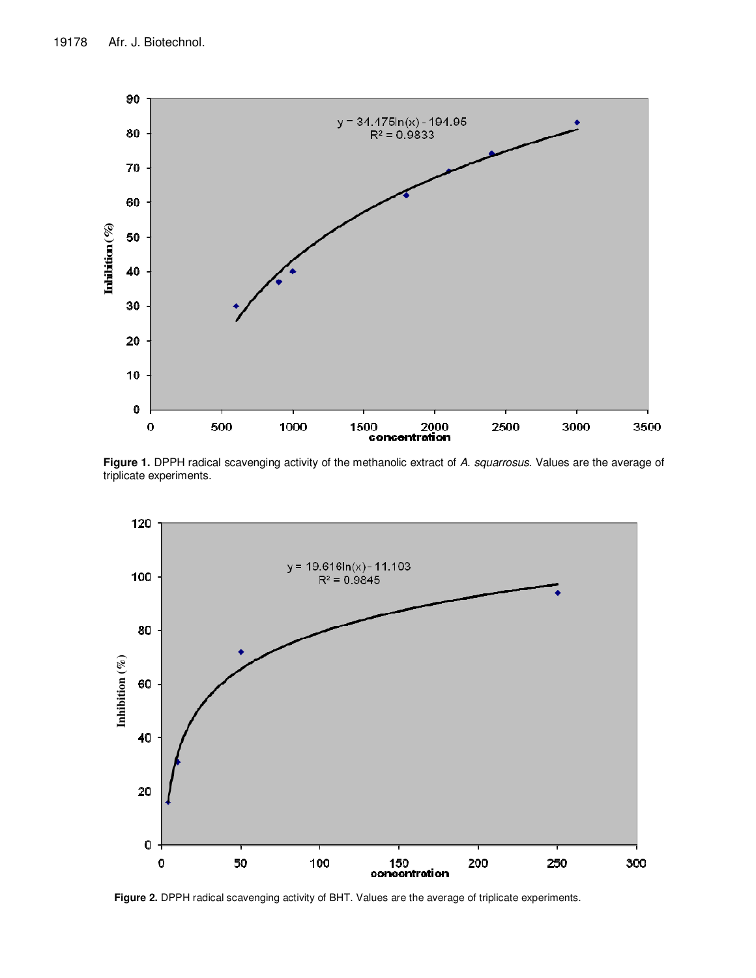

Figure 1. DPPH radical scavenging activity of the methanolic extract of A. squarrosus. Values are the average of triplicate experiments.



**Figure 2.** DPPH radical scavenging activity of BHT. Values are the average of triplicate experiments.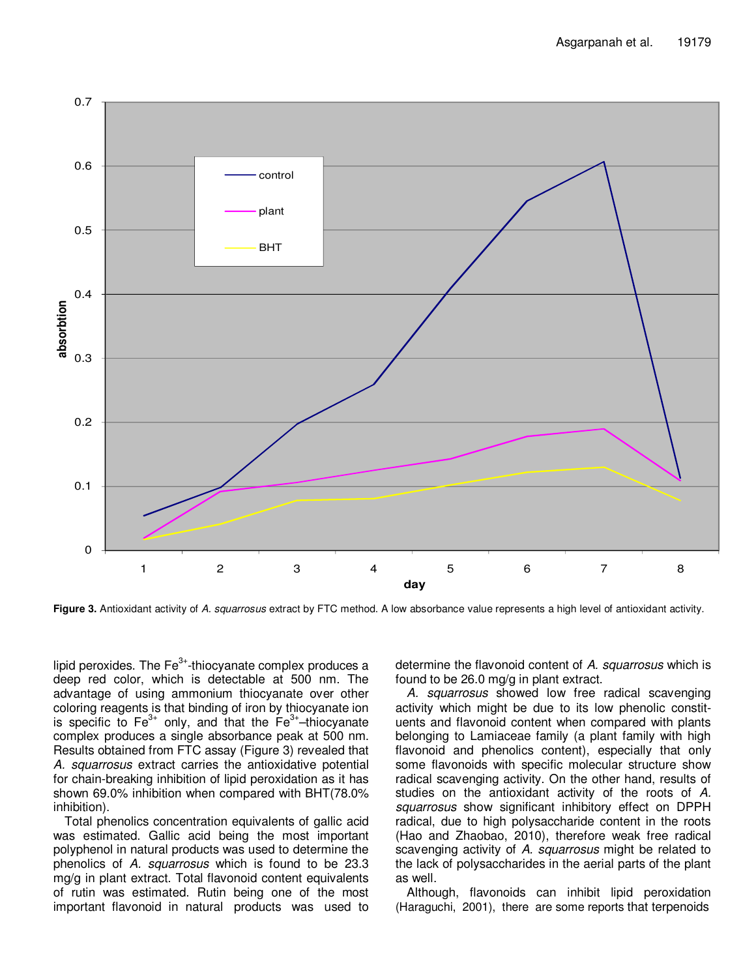

Figure 3. Antioxidant activity of A. squarrosus extract by FTC method. A low absorbance value represents a high level of antioxidant activity.

lipid peroxides. The  $Fe<sup>3+</sup>$ -thiocyanate complex produces a deep red color, which is detectable at 500 nm. The advantage of using ammonium thiocyanate over other coloring reagents is that binding of iron by thiocyanate ion is specific to  $Fe^{3+}$  only, and that the  $Fe^{3+}$ -thiocyanate complex produces a single absorbance peak at 500 nm. Results obtained from FTC assay (Figure 3) revealed that A. squarrosus extract carries the antioxidative potential for chain-breaking inhibition of lipid peroxidation as it has shown 69.0% inhibition when compared with BHT(78.0% inhibition).

Total phenolics concentration equivalents of gallic acid was estimated. Gallic acid being the most important polyphenol in natural products was used to determine the phenolics of A. squarrosus which is found to be 23.3 mg/g in plant extract. Total flavonoid content equivalents of rutin was estimated. Rutin being one of the most important flavonoid in natural products was used to determine the flavonoid content of A. squarrosus which is found to be 26.0 mg/g in plant extract.

A. squarrosus showed low free radical scavenging activity which might be due to its low phenolic constituents and flavonoid content when compared with plants belonging to Lamiaceae family (a plant family with high flavonoid and phenolics content), especially that only some flavonoids with specific molecular structure show radical scavenging activity. On the other hand, results of studies on the antioxidant activity of the roots of A. squarrosus show significant inhibitory effect on DPPH radical, due to high polysaccharide content in the roots (Hao and Zhaobao, 2010), therefore weak free radical scavenging activity of A. squarrosus might be related to the lack of polysaccharides in the aerial parts of the plant as well.

Although, flavonoids can inhibit lipid peroxidation (Haraguchi, 2001), there are some reports that terpenoids